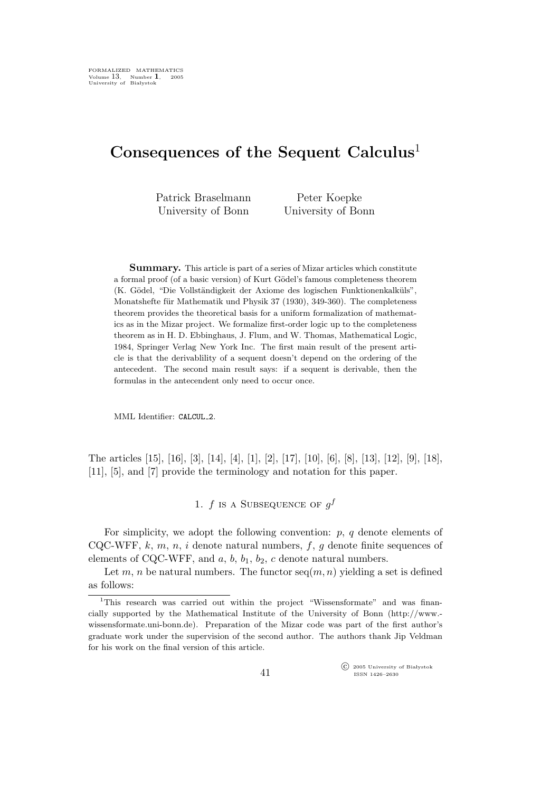# Consequences of the Sequent Calculus<sup>1</sup>

Patrick Braselmann University of Bonn

Peter Koepke University of Bonn

Summary. This article is part of a series of Mizar articles which constitute a formal proof (of a basic version) of Kurt Gödel's famous completeness theorem (K. Gödel, "Die Vollständigkeit der Axiome des logischen Funktionenkalküls", Monatshefte für Mathematik und Physik 37 (1930), 349-360). The completeness theorem provides the theoretical basis for a uniform formalization of mathematics as in the Mizar project. We formalize first-order logic up to the completeness theorem as in H. D. Ebbinghaus, J. Flum, and W. Thomas, Mathematical Logic, 1984, Springer Verlag New York Inc. The first main result of the present article is that the derivablility of a sequent doesn't depend on the ordering of the antecedent. The second main result says: if a sequent is derivable, then the formulas in the antecendent only need to occur once.

MML Identifier: CALCUL 2.

The articles [15], [16], [3], [14], [4], [1], [2], [17], [10], [6], [8], [13], [12], [9], [18], [11], [5], and [7] provide the terminology and notation for this paper.

# 1.  $f$  is a SUBSEQUENCE OF  $g^f$

For simplicity, we adopt the following convention:  $p, q$  denote elements of CQC-WFF,  $k, m, n, i$  denote natural numbers,  $f, g$  denote finite sequences of elements of CQC-WFF, and  $a, b, b_1, b_2, c$  denote natural numbers.

Let m, n be natural numbers. The functor  $seq(m, n)$  yielding a set is defined as follows:

 $\widehat{\mathbb{C}}$  2005 University of Białystok ISSN 1426–2630

<sup>&</sup>lt;sup>1</sup>This research was carried out within the project "Wissensformate" and was financially supported by the Mathematical Institute of the University of Bonn (http://www. wissensformate.uni-bonn.de). Preparation of the Mizar code was part of the first author's graduate work under the supervision of the second author. The authors thank Jip Veldman for his work on the final version of this article.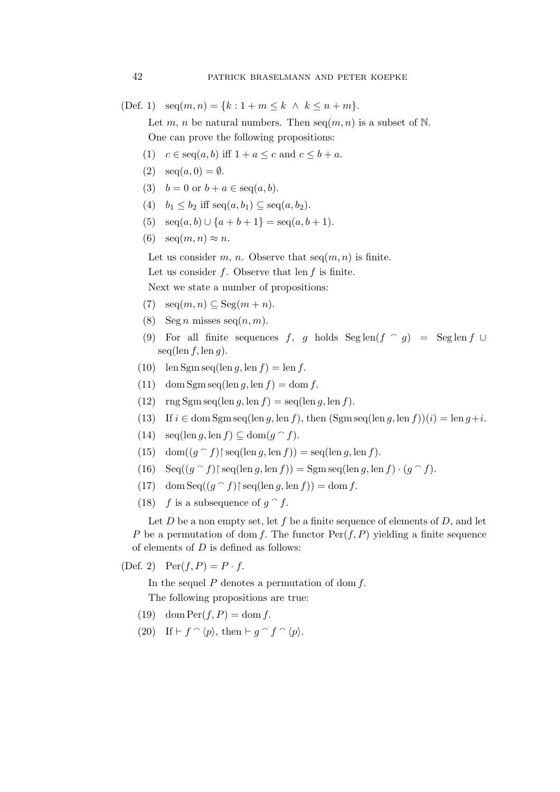(Def. 1)  $\text{seq}(m, n) = \{k : 1 + m \leq k \land k \leq n + m\}.$ 

Let m, n be natural numbers. Then  $seq(m, n)$  is a subset of N. One can prove the following propositions:

- (1)  $c \in \text{seq}(a, b)$  iff  $1 + a \leq c$  and  $c \leq b + a$ .
- (2)  $\sec(a, 0) = \emptyset$ .
- (3)  $b = 0$  or  $b + a \in \text{seq}(a, b)$ .
- (4)  $b_1 < b_2$  iff  $seq(a, b_1) \subseteq seq(a, b_2)$ .
- (5)  $\text{seq}(a, b) \cup \{a+b+1\} = \text{seq}(a, b+1).$
- (6)  $\operatorname{seq}(m,n) \approx n$ .

Let us consider m, n. Observe that  $seq(m, n)$  is finite.

Let us consider  $f$ . Observe that len  $f$  is finite.

Next we state a number of propositions:

- (7)  $\operatorname{seq}(m,n) \subseteq \operatorname{Seg}(m+n)$ .
- (8) Seg *n* misses seq $(n, m)$ .
- (9) For all finite sequences f, g holds  $\text{Seglen}(f \cap g) = \text{Seglen} f \cup$  $seq(\text{len } f, \text{len } g).$
- (10) len Sgm seq(len g, len  $f$ ) = len  $f$ .
- (11) dom Sgm seq(len g, len f) = dom f.
- (12)  $\text{rng}\ \text{Sgm}\ \text{seq}(\text{len}\ g, \text{len}\ f) = \text{seq}(\text{len}\ g, \text{len}\ f).$
- (13) If  $i \in \text{dom}\,\text{Sgm}\,\text{seq}(\text{len }g, \text{len }f), \text{ then } (\text{Sgm}\,\text{seq}(\text{len }g, \text{len }f))(i) = \text{len }g + i.$
- (14)  $\operatorname{seq}(\operatorname{len} g, \operatorname{len} f) \subseteq \operatorname{dom}(g \cap f)$ .
- (15) dom $((g \cap f)$ † seq(len g, len f)) = seq(len g, len f).
- (16)  $\text{Seq}((g \cap f) \mid \text{seq}(\text{len } g, \text{len } f)) = \text{Sgm}\,\text{seq}(\text{len } g, \text{len } f) \cdot (g \cap f).$
- (17) dom  $\text{Seq}((g \cap f) \restriction \text{seq}(\text{len } g, \text{len } f)) = \text{dom } f.$
- (18) f is a subsequence of  $g \hat{ } f$ .

Let  $D$  be a non empty set, let  $f$  be a finite sequence of elements of  $D$ , and let P be a permutation of dom f. The functor  $Per(f, P)$  yielding a finite sequence of elements of  $D$  is defined as follows:

(Def. 2)  $Per(f, P) = P \cdot f$ .

In the sequel  $P$  denotes a permutation of dom  $f$ .

The following propositions are true:

- (19) dom  $\text{Per}(f, P) = \text{dom } f$ .
- (20) If  $\vdash f \cap \langle p \rangle$ , then  $\vdash g \cap f \cap \langle p \rangle$ .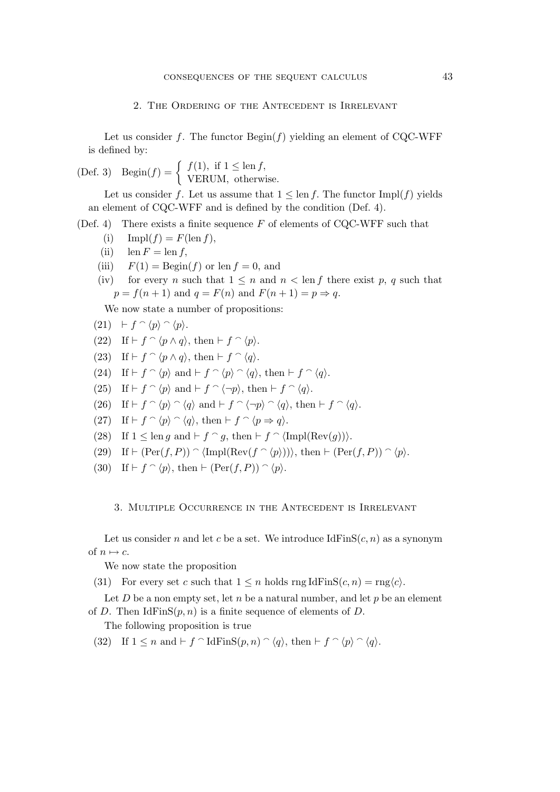## 2. The Ordering of the Antecedent is Irrelevant

Let us consider f. The functor  $\text{Begin}(f)$  yielding an element of CQC-WFF is defined by:

(Def. 3) 
$$
Begin(f) = \begin{cases} f(1), & \text{if } 1 \leq \text{len } f, \\ VERUM, & \text{otherwise.} \end{cases}
$$

Let us consider f. Let us assume that  $1 \leq \text{len } f$ . The functor Impl(f) yields an element of CQC-WFF and is defined by the condition (Def. 4).

(Def. 4) There exists a finite sequence  $F$  of elements of CQC-WFF such that

- (i)  $\text{Impl}(f) = F(\text{len } f),$
- (ii)  $\operatorname{len} F = \operatorname{len} f$ ,
- (iii)  $F(1) = \text{Begin}(f)$  or len  $f = 0$ , and
- (iv) for every n such that  $1 \leq n$  and  $n < \text{len } f$  there exist p, q such that  $p = f(n + 1)$  and  $q = F(n)$  and  $F(n + 1) = p \Rightarrow q$ .

We now state a number of propositions:

- $(21)$  ⊢  $f \cap \langle p \rangle \cap \langle p \rangle$ .
- (22) If  $\vdash f \cap \langle p \land q \rangle$ , then  $\vdash f \cap \langle p \rangle$ .
- (23) If  $\vdash f \cap \langle p \land q \rangle$ , then  $\vdash f \cap \langle q \rangle$ .
- (24) If  $\vdash f \cap \langle p \rangle$  and  $\vdash f \cap \langle p \rangle \cap \langle q \rangle$ , then  $\vdash f \cap \langle q \rangle$ .
- (25) If  $\vdash f \cap \langle p \rangle$  and  $\vdash f \cap \langle \neg p \rangle$ , then  $\vdash f \cap \langle q \rangle$ .
- (26) If  $\vdash f \cap \langle p \rangle \cap \langle q \rangle$  and  $\vdash f \cap \langle \neg p \rangle \cap \langle q \rangle$ , then  $\vdash f \cap \langle q \rangle$ .
- (27) If  $\vdash f \cap \langle p \rangle \cap \langle q \rangle$ , then  $\vdash f \cap \langle p \Rightarrow q \rangle$ .
- (28) If  $1 \leq \text{len } g$  and  $\vdash f \cap g$ , then  $\vdash f \cap (\text{Impl}(\text{Rev}(g)))$ .
- (29) If  $\vdash$   $(Per(f, P)) \cap \langle Impl(Rev(f \cap \langle p \rangle)) \rangle$ , then  $\vdash$   $(Per(f, P)) \cap \langle p \rangle$ .
- (30) If  $\vdash f \cap \langle p \rangle$ , then  $\vdash (\text{Per}(f, P)) \cap \langle p \rangle$ .

### 3. Multiple Occurrence in the Antecedent is Irrelevant

Let us consider n and let c be a set. We introduce  $IdFinS(c, n)$  as a synonym of  $n \mapsto c$ .

We now state the proposition

(31) For every set c such that  $1 \leq n$  holds rng IdFinS $(c, n) = \text{rng}\langle c \rangle$ .

Let  $D$  be a non empty set, let  $n$  be a natural number, and let  $p$  be an element of D. Then  $IdFinS(p, n)$  is a finite sequence of elements of D.

The following proposition is true

(32) If  $1 \leq n$  and  $\vdash f \cap \text{IdFinS}(p, n) \cap \langle q \rangle$ , then  $\vdash f \cap \langle p \rangle \cap \langle q \rangle$ .